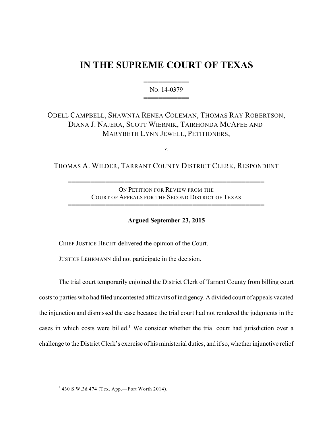# **IN THE SUPREME COURT OF TEXAS**

444444444444 NO. 14-0379 444444444444

## ODELL CAMPBELL, SHAWNTA RENEA COLEMAN, THOMAS RAY ROBERTSON, DIANA J. NAJERA, SCOTT WIERNIK, TAIRHONDA MCAFEE AND MARYBETH LYNN JEWELL, PETITIONERS,

v.

THOMAS A. WILDER, TARRANT COUNTY DISTRICT CLERK, RESPONDENT

ON PETITION FOR REVIEW FROM THE COURT OF APPEALS FOR THE SECOND DISTRICT OF TEXAS

4444444444444444444444444444444444444444444444444444

4444444444444444444444444444444444444444444444444444

**Argued September 23, 2015**

CHIEF JUSTICE HECHT delivered the opinion of the Court.

JUSTICE LEHRMANN did not participate in the decision.

The trial court temporarily enjoined the District Clerk of Tarrant County from billing court costs to parties who had filed uncontested affidavits of indigency. A divided court of appeals vacated the injunction and dismissed the case because the trial court had not rendered the judgments in the cases in which costs were billed.<sup>1</sup> We consider whether the trial court had jurisdiction over a challenge to the District Clerk's exercise of his ministerial duties, and if so, whether injunctive relief

 $^{1}$  430 S.W.3d 474 (Tex. App.—Fort Worth 2014).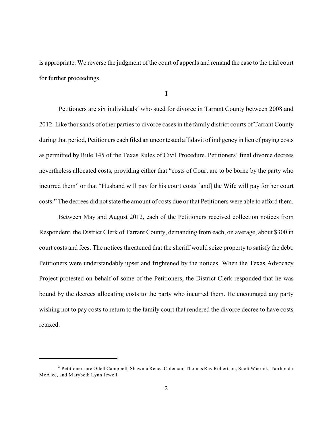is appropriate. We reverse the judgment of the court of appeals and remand the case to the trial court for further proceedings.

**I**

Petitioners are six individuals<sup>2</sup> who sued for divorce in Tarrant County between 2008 and 2012. Like thousands of other parties to divorce cases in the family district courts of Tarrant County during that period, Petitioners each filed an uncontested affidavit of indigency in lieu of paying costs as permitted by Rule 145 of the Texas Rules of Civil Procedure. Petitioners' final divorce decrees nevertheless allocated costs, providing either that "costs of Court are to be borne by the party who incurred them" or that "Husband will pay for his court costs [and] the Wife will pay for her court costs." The decrees did not state the amount of costs due or that Petitioners were able to afford them.

Between May and August 2012, each of the Petitioners received collection notices from Respondent, the District Clerk of Tarrant County, demanding from each, on average, about \$300 in court costs and fees. The notices threatened that the sheriff would seize property to satisfy the debt. Petitioners were understandably upset and frightened by the notices. When the Texas Advocacy Project protested on behalf of some of the Petitioners, the District Clerk responded that he was bound by the decrees allocating costs to the party who incurred them. He encouraged any party wishing not to pay costs to return to the family court that rendered the divorce decree to have costs retaxed.

 $^2$  Petitioners are Odell Campbell, Shawnta Renea Coleman, Thomas Ray Robertson, Scott Wiernik, Tairhonda McAfee, and Marybeth Lynn Jewell.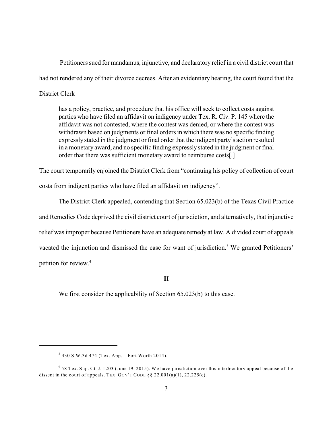Petitioners sued for mandamus, injunctive, and declaratory relief in a civil district court that had not rendered any of their divorce decrees. After an evidentiary hearing, the court found that the District Clerk

has a policy, practice, and procedure that his office will seek to collect costs against parties who have filed an affidavit on indigency under Tex. R. Civ. P. 145 where the affidavit was not contested, where the contest was denied, or where the contest was withdrawn based on judgments or final orders in which there was no specific finding expressly stated in the judgment or final order that the indigent party's action resulted in a monetary award, and no specific finding expressly stated in the judgment or final order that there was sufficient monetary award to reimburse costs[.]

The court temporarily enjoined the District Clerk from "continuing his policy of collection of court costs from indigent parties who have filed an affidavit on indigency".

The District Clerk appealed, contending that Section 65.023(b) of the Texas Civil Practice and Remedies Code deprived the civil district court of jurisdiction, and alternatively, that injunctive relief was improper because Petitioners have an adequate remedy at law. A divided court of appeals vacated the injunction and dismissed the case for want of jurisdiction.<sup>3</sup> We granted Petitioners' petition for review.<sup>4</sup>

**II**

We first consider the applicability of Section 65.023(b) to this case.

 $3430$  S.W.3d 474 (Tex. App.—Fort Worth 2014).

<sup>&</sup>lt;sup>4</sup> 58 Tex. Sup. Ct. J. 1203 (June 19, 2015). We have jurisdiction over this interlocutory appeal because of the dissent in the court of appeals. TEX. GOV'T CODE  $\S$ § 22.001(a)(1), 22.225(c).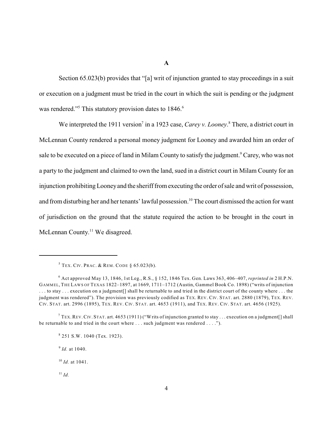**A**

Section 65.023(b) provides that "[a] writ of injunction granted to stay proceedings in a suit or execution on a judgment must be tried in the court in which the suit is pending or the judgment was rendered."<sup>5</sup> This statutory provision dates to  $1846$ <sup>6</sup>

We interpreted the 1911 version<sup>7</sup> in a 1923 case, *Carey v. Looney*.<sup>8</sup> There, a district court in McLennan County rendered a personal money judgment for Looney and awarded him an order of sale to be executed on a piece of land in Milam County to satisfy the judgment.<sup>9</sup> Carey, who was not a party to the judgment and claimed to own the land, sued in a district court in Milam County for an injunction prohibiting Looney and the sheriff from executing the order of sale and writ of possession, and from disturbing her and her tenants' lawful possession.<sup>10</sup> The court dismissed the action for want of jurisdiction on the ground that the statute required the action to be brought in the court in  $McLennan County.<sup>11</sup> We disagreed.$ 

<sup>9</sup> *Id.* at 1040.

 $5$  Tex. Civ. Prac. & Rem. Code § 65.023(b).

Act approved May 13, 1846, 1st Leg., R.S., § 152, 1846 Tex. Gen. Laws 363, 406–407, *reprinted in* 2 H.P.N. 6 GAMMEL, THE LAWS OF TEXAS 1822–1897, at 1669, 1711–1712 (Austin, Gammel Book Co. 1898) ("writs of injunction . . . to stay . . . execution on a judgment[] shall be returnable to and tried in the district court of the county where . . . the judgment was rendered"). The provision was previously codified as TEX. REV. CIV. STAT. art. 2880 (1879), TEX. REV. CIV. STAT. art. 2996 (1895), TEX. REV. CIV. STAT. art. 4653 (1911), and TEX. REV. CIV. STAT. art. 4656 (1925).

<sup>&</sup>lt;sup>7</sup> TEX. REV. CIV. STAT. art. 4653 (1911) ("Writs of injunction granted to stay . . . execution on a judgment[] shall be returnable to and tried in the court where . . . such judgment was rendered . . . .").

<sup>&</sup>lt;sup>8</sup> 251 S.W. 1040 (Tex. 1923).

<sup>&</sup>lt;sup>10</sup> *Id.* at 1041.

 $\overline{11}$  *Id.*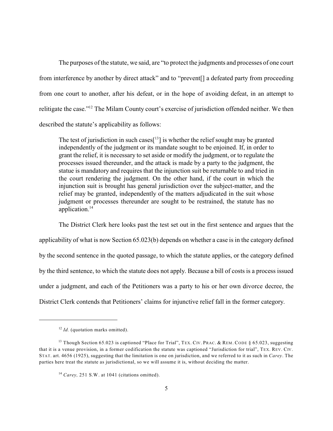The purposes of the statute, we said, are "to protect the judgments and processes of one court from interference by another by direct attack" and to "prevent[] a defeated party from proceeding from one court to another, after his defeat, or in the hope of avoiding defeat, in an attempt to relitigate the case."<sup>12</sup> The Milam County court's exercise of jurisdiction offended neither. We then described the statute's applicability as follows:

The test of jurisdiction in such cases $[13]$  is whether the relief sought may be granted independently of the judgment or its mandate sought to be enjoined. If, in order to grant the relief, it is necessary to set aside or modify the judgment, or to regulate the processes issued thereunder, and the attack is made by a party to the judgment, the statue is mandatory and requires that the injunction suit be returnable to and tried in the court rendering the judgment. On the other hand, if the court in which the injunction suit is brought has general jurisdiction over the subject-matter, and the relief may be granted, independently of the matters adjudicated in the suit whose judgment or processes thereunder are sought to be restrained, the statute has no application.<sup>14</sup>

The District Clerk here looks past the test set out in the first sentence and argues that the applicability of what is now Section 65.023(b) depends on whether a case is in the category defined by the second sentence in the quoted passage, to which the statute applies, or the category defined by the third sentence, to which the statute does not apply. Because a bill of costs is a process issued under a judgment, and each of the Petitioners was a party to his or her own divorce decree, the District Clerk contends that Petitioners' claims for injunctive relief fall in the former category.

<sup>&</sup>lt;sup>12</sup> Id. (quotation marks omitted).

<sup>&</sup>lt;sup>13</sup> Though Section 65.023 is captioned "Place for Trial", TEX. CIV. PRAC. & REM. CODE § 65.023, suggesting that it is a venue provision, in a former codification the statute was captioned "Jurisdiction for trial", TEX. REV. CIV. STAT. art. 4656 (1925), suggesting that the limitation is one on jurisdiction, and we referred to it as such in *Carey*. The parties here treat the statute as jurisdictional, so we will assume it is, without deciding the matter.

<sup>&</sup>lt;sup>14</sup> Carey, 251 S.W. at 1041 (citations omitted).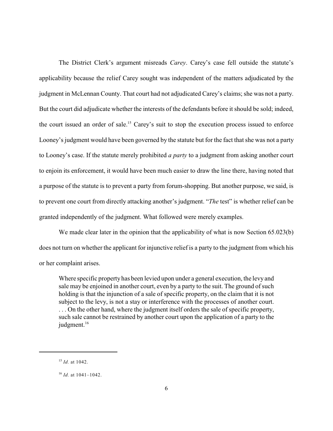The District Clerk's argument misreads *Carey*. Carey's case fell outside the statute's applicability because the relief Carey sought was independent of the matters adjudicated by the judgment in McLennan County. That court had not adjudicated Carey's claims; she was not a party. But the court did adjudicate whether the interests of the defendants before it should be sold; indeed, the court issued an order of sale.<sup>15</sup> Carey's suit to stop the execution process issued to enforce Looney's judgment would have been governed by the statute but for the fact that she was not a party to Looney's case. If the statute merely prohibited *a party* to a judgment from asking another court to enjoin its enforcement, it would have been much easier to draw the line there, having noted that a purpose of the statute is to prevent a party from forum-shopping. But another purpose, we said, is to prevent one court from directly attacking another's judgment. "*The* test" is whether relief can be granted independently of the judgment. What followed were merely examples.

We made clear later in the opinion that the applicability of what is now Section 65.023(b) does not turn on whether the applicant for injunctive relief is a party to the judgment from which his or her complaint arises.

Where specific property has been levied upon under a general execution, the levy and sale may be enjoined in another court, even by a party to the suit. The ground of such holding is that the injunction of a sale of specific property, on the claim that it is not subject to the levy, is not a stay or interference with the processes of another court. ... On the other hand, where the judgment itself orders the sale of specific property, such sale cannot be restrained by another court upon the application of a party to the judgment.<sup>16</sup>

<sup>&</sup>lt;sup>15</sup> *Id.* at 1042.

<sup>&</sup>lt;sup>16</sup> *Id.* at 1041-1042.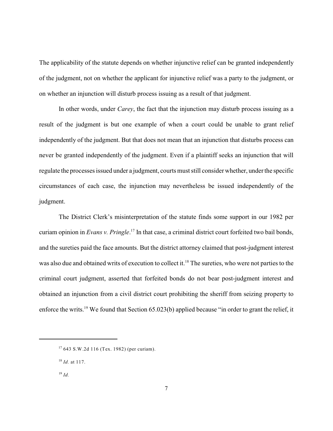The applicability of the statute depends on whether injunctive relief can be granted independently of the judgment, not on whether the applicant for injunctive relief was a party to the judgment, or on whether an injunction will disturb process issuing as a result of that judgment.

In other words, under *Carey*, the fact that the injunction may disturb process issuing as a result of the judgment is but one example of when a court could be unable to grant relief independently of the judgment. But that does not mean that an injunction that disturbs process can never be granted independently of the judgment. Even if a plaintiff seeks an injunction that will regulate the processes issued under a judgment, courts must still consider whether, under the specific circumstances of each case, the injunction may nevertheless be issued independently of the judgment.

The District Clerk's misinterpretation of the statute finds some support in our 1982 per curiam opinion in *Evans v. Pringle*.<sup>17</sup> In that case, a criminal district court forfeited two bail bonds, and the sureties paid the face amounts. But the district attorney claimed that post-judgment interest was also due and obtained writs of execution to collect it.<sup>18</sup> The sureties, who were not parties to the criminal court judgment, asserted that forfeited bonds do not bear post-judgment interest and obtained an injunction from a civil district court prohibiting the sheriff from seizing property to enforce the writs.<sup>19</sup> We found that Section  $65.023(b)$  applied because "in order to grant the relief, it

 $17643$  S.W.2d 116 (Tex. 1982) (per curiam).

<sup>&</sup>lt;sup>18</sup> *Id.* at 117.

*Id.* 19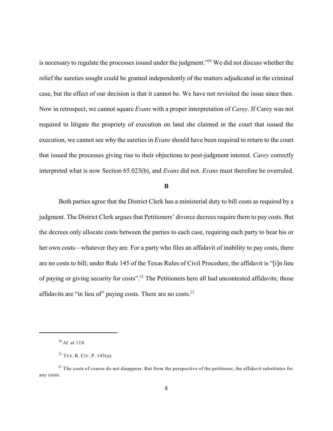is necessary to regulate the processes issued under the judgment."<sup>20</sup> We did not discuss whether the relief the sureties sought could be granted independently of the matters adjudicated in the criminal case, but the effect of our decision is that it cannot be. We have not revisited the issue since then. Now in retrospect, we cannot square *Evans* with a proper interpretation of *Carey*. If Carey was not required to litigate the propriety of execution on land she claimed in the court that issued the execution, we cannot see why the sureties in *Evans* should have been required to return to the court that issued the processes giving rise to their objections to post-judgment interest. *Carey* correctly interpreted what is now Section 65.023(b), and *Evans* did not. *Evans* must therefore be overruled.

#### **B**

Both parties agree that the District Clerk has a ministerial duty to bill costs as required by a judgment. The District Clerk argues that Petitioners' divorce decrees require them to pay costs. But the decrees only allocate costs between the parties to each case, requiring each party to bear his or her own costs—whatever they are. For a party who files an affidavit of inability to pay costs, there are no costs to bill; under Rule 145 of the Texas Rules of Civil Procedure, the affidavit is "[i]n lieu of paying or giving security for costs".<sup>21</sup> The Petitioners here all had uncontested affidavits; those affidavits are "in lieu of" paying costs. There are no costs. $22$ 

*Id.* at 118. 20

 $21$  TEX. R. CIV. P. 145(a).

 $22$  The costs of course do not disappear. But from the perspective of the petitioner, the affidavit substitutes for any costs.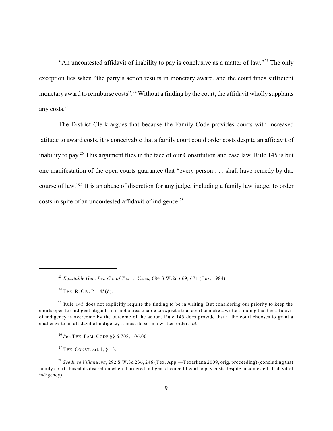"An uncontested affidavit of inability to pay is conclusive as a matter of law."<sup>23</sup> The only exception lies when "the party's action results in monetary award, and the court finds sufficient monetary award to reimburse costs".<sup>24</sup> Without a finding by the court, the affidavit wholly supplants any costs.<sup>25</sup>

The District Clerk argues that because the Family Code provides courts with increased latitude to award costs, it is conceivable that a family court could order costs despite an affidavit of inability to pay.<sup>26</sup> This argument flies in the face of our Constitution and case law. Rule 145 is but one manifestation of the open courts guarantee that "every person . . . shall have remedy by due course of law."<sup>27</sup> It is an abuse of discretion for any judge, including a family law judge, to order costs in spite of an uncontested affidavit of indigence.<sup>28</sup>

 $24$  TEX. R. CIV. P. 145(d).

*See* TEX. FAM. CODE §§ 6.708, 106.001. 26

<sup>27</sup> TEX. CONST. art. I,  $\S$  13.

*Equitable Gen. Ins. Co. of Tex. v. Yate*s, 684 S.W.2d 669, 671 (Tex. 1984). 23

 $25$  Rule 145 does not explicitly require the finding to be in writing. But considering our priority to keep the courts open for indigent litigants, it is not unreasonable to expect a trial court to make a written finding that the affidavit of indigency is overcome by the outcome of the action. Rule 145 does provide that if the court chooses to grant a challenge to an affidavit of indigency it must do so in a written order. *Id.*

*See In re Villanueva*, 292 S.W.3d 236, 246 (Tex. App.—Texarkana 2009, orig. proceeding) (concluding that 28 family court abused its discretion when it ordered indigent divorce litigant to pay costs despite uncontested affidavit of indigency).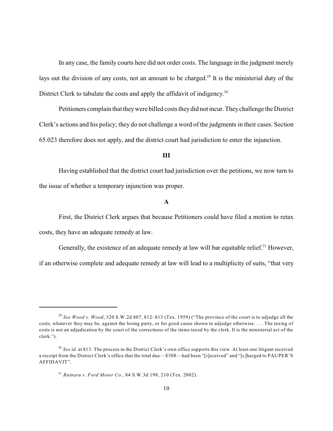In any case, the family courts here did not order costs. The language in the judgment merely lays out the division of any costs, not an amount to be charged.<sup>29</sup> It is the ministerial duty of the District Clerk to tabulate the costs and apply the affidavit of indigency.<sup>30</sup>

Petitioners complain that theywere billed costs theydid not incur. Theychallenge the District Clerk's actions and his policy; they do not challenge a word of the judgments in their cases. Section 65.023 therefore does not apply, and the district court had jurisdiction to enter the injunction.

#### **III**

Having established that the district court had jurisdiction over the petitions, we now turn to the issue of whether a temporary injunction was proper.

#### **A**

First, the District Clerk argues that because Petitioners could have filed a motion to retax costs, they have an adequate remedy at law.

Generally, the existence of an adequate remedy at law will bar equitable relief.<sup>31</sup> However,

if an otherwise complete and adequate remedy at law will lead to a multiplicity of suits, "that very

<sup>&</sup>lt;sup>29</sup> See Wood v. Wood, 320 S.W.2d 807, 812–813 (Tex. 1959) ("The province of the court is to adjudge all the costs, whatever they may be, against the losing party, or for good cause shown to adjudge otherwise. . . . The taxing of costs is not an adjudication by the court of the correctness of the items taxed by the clerk. It is the ministerial act of the clerk.").

<sup>&</sup>lt;sup>30</sup> See id. at 813. The process in the District Clerk's own office supports this view. At least one litigant received a receipt from the District Clerk's office that the total due—\$308—had been "[r]eceived" and "[c]harged to PAUPER'S AFFIDAVIT".

*Butnaru v. Ford Motor Co.*, 84 S.W.3d 198, 210 (Tex. 2002). 31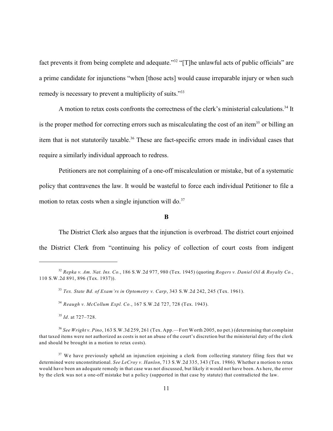fact prevents it from being complete and adequate."<sup>32</sup> "[T]he unlawful acts of public officials" are a prime candidate for injunctions "when [those acts] would cause irreparable injury or when such remedy is necessary to prevent a multiplicity of suits."<sup>33</sup>

A motion to retax costs confronts the correctness of the clerk's ministerial calculations.<sup>34</sup> It is the proper method for correcting errors such as miscalculating the cost of an item<sup>35</sup> or billing an item that is not statutorily taxable.<sup>36</sup> These are fact-specific errors made in individual cases that require a similarly individual approach to redress.

Petitioners are not complaining of a one-off miscalculation or mistake, but of a systematic policy that contravenes the law. It would be wasteful to force each individual Petitioner to file a motion to retax costs when a single injunction will do. $37$ 

### **B**

The District Clerk also argues that the injunction is overbroad. The district court enjoined the District Clerk from "continuing his policy of collection of court costs from indigent

<sup>35</sup> Id. at 727–728.

*Repka v. Am. Nat. Ins. Co.*, 186 S.W.2d 977, 980 (Tex. 1945) (quoting *Rogers v. Daniel Oil & Royalty Co.*, 32 110 S.W.2d 891, 896 (Tex. 1937)).

*Tex. State Bd. of Exam'rs in Optometry v. Carp*, 343 S.W.2d 242, 245 (Tex. 1961). 33

*Reaugh v. McCollum Expl. Co.*, 167 S.W.2d 727, 728 (Tex. 1943). 34

*See Wright v. Pino*, 163 S.W.3d 259, 261 (Tex. App.—Fort Worth 2005, no pet.) (determining that complaint 36 that taxed items were not authorized as costs is not an abuse of the court's discretion but the ministerial duty of the clerk and should be brought in a motion to retax costs).

<sup>&</sup>lt;sup>37</sup> We have previously upheld an injunction enjoining a clerk from collecting statutory filing fees that we determined were unconstitutional. *See LeCroy v. Hanlon*, 713 S.W.2d 335, 343 (Tex. 1986). Whether a motion to retax would have been an adequate remedy in that case was not discussed, but likely it would not have been. As here, the error by the clerk was not a one-off mistake but a policy (supported in that case by statute) that contradicted the law.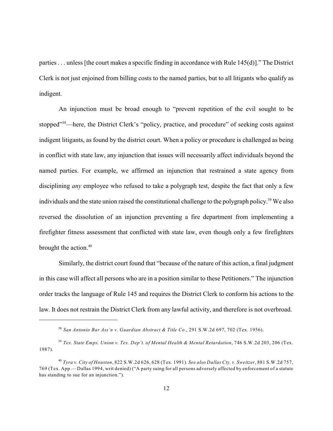parties . . . unless [the court makes a specific finding in accordance with Rule 145(d)]." The District Clerk is not just enjoined from billing costs to the named parties, but to all litigants who qualify as indigent.

An injunction must be broad enough to "prevent repetition of the evil sought to be stopped"<sup>38</sup>—here, the District Clerk's "policy, practice, and procedure" of seeking costs against indigent litigants, as found by the district court. When a policy or procedure is challenged as being in conflict with state law, any injunction that issues will necessarily affect individuals beyond the named parties. For example, we affirmed an injunction that restrained a state agency from disciplining *any* employee who refused to take a polygraph test, despite the fact that only a few individuals and the state union raised the constitutional challenge to the polygraph policy.<sup>39</sup> We also reversed the dissolution of an injunction preventing a fire department from implementing a firefighter fitness assessment that conflicted with state law, even though only a few firefighters brought the action.<sup>40</sup>

Similarly, the district court found that "because of the nature of this action, a final judgment in this case will affect all persons who are in a position similar to these Petitioners." The injunction order tracks the language of Rule 145 and requires the District Clerk to conform his actions to the law. It does not restrain the District Clerk from any lawful activity, and therefore is not overbroad.

*San Antonio Bar Ass'n v. Guardian Abstract & Title Co.*, 291 S.W.2d 697, 702 (Tex. 1956). 38

*Tex. State Emps. Union v. Tex. Dep't. of Mental Health & Mental Retardation*, 746 S.W.2d 203, 206 (Tex. 39 1987).

*Tyra v. City of Houston*, 822 S.W.2d 626, 628 (Tex. 1991). *See also Dallas Cty. v. Sweitzer*, 881 S.W.2d 757, 40 769 (Tex. App.—Dallas 1994, writ denied) ("A party suing for all persons adversely affected by enforcement of a statute has standing to sue for an injunction.").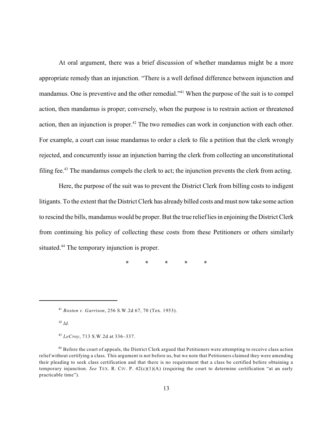At oral argument, there was a brief discussion of whether mandamus might be a more appropriate remedy than an injunction. "There is a well defined difference between injunction and mandamus. One is preventive and the other remedial."<sup>41</sup> When the purpose of the suit is to compel action, then mandamus is proper; conversely, when the purpose is to restrain action or threatened action, then an injunction is proper.<sup>42</sup> The two remedies can work in conjunction with each other. For example, a court can issue mandamus to order a clerk to file a petition that the clerk wrongly rejected, and concurrently issue an injunction barring the clerk from collecting an unconstitutional filing fee.<sup>43</sup> The mandamus compels the clerk to act; the injunction prevents the clerk from acting.

Here, the purpose of the suit was to prevent the District Clerk from billing costs to indigent litigants. To the extent that the District Clerk has already billed costs and must now take some action to rescind the bills, mandamus would be proper. But the true relieflies in enjoining the District Clerk from continuing his policy of collecting these costs from these Petitioners or others similarly situated.<sup>44</sup> The temporary injunction is proper.

**\* \* \* \* \***

*Boston v. Garrison*, 256 S.W.2d 67, 70 (Tex. 1953). 41

*Id.* 42

*LeCroy*, 713 S.W.2d at 336–337. 43

<sup>&</sup>lt;sup>44</sup> Before the court of appeals, the District Clerk argued that Petitioners were attempting to receive class action relief without certifying a class. This argument is not before us, but we note that Petitioners claimed they were amending their pleading to seek class certification and that there is no requirement that a class be certified before obtaining a temporary injunction. *See* TEX. R. CIV. P. 42(c)(1)(A) (requiring the court to determine certification "at an early practicable time").